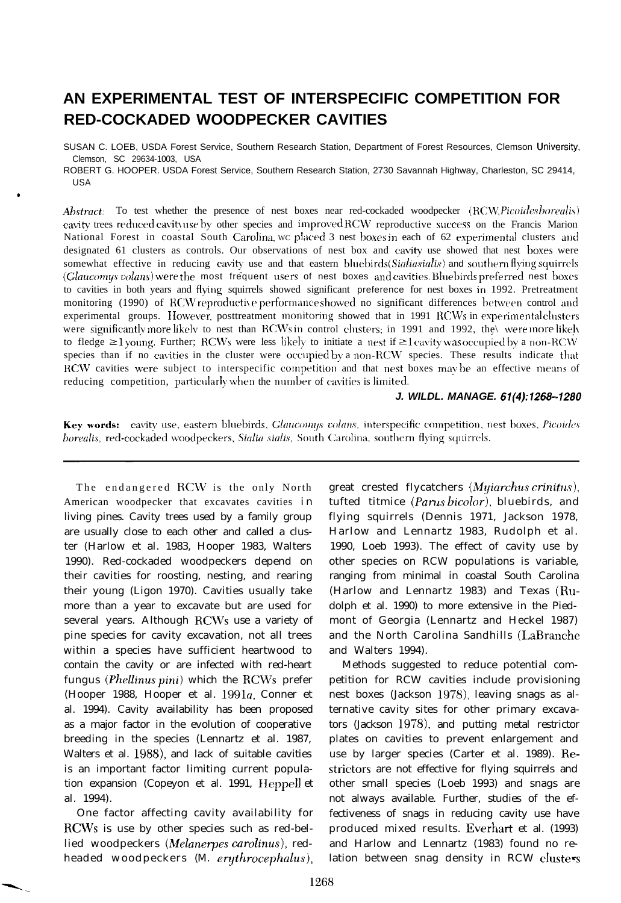# **AN EXPERIMENTAL TEST OF INTERSPECIFIC COMPETITION FOR RED-COCKADED WOODPECKER CAVITIES**

SUSAN C. LOEB, USDA Forest Service, Southern Research Station, Department of Forest Resources, Clemson University, Clemson, SC 29634-1003, USA

ROBERT G. HOOPER. USDA Forest Service, Southern Research Station, 2730 Savannah Highway, Charleston, SC 29414, USA

*Abstract:* To test whether the presence of nest boxes near red-cockaded woodpecker *(RCW. Picoirles borealis)* cavity trees reduced cavity use by other species and improved RCW reproductive success on the Francis Marion National Forest in coastal South Carolina, we placed 3 nest boxes in each of 62 experimental clusters and designated 61 clusters as controls. Our observations of nest box and cavity use showed that nest boxes were somewhat effective in reducing cavity use and that eastern bluebirds (Sialiasialis) and southern flying squirrels (Glaucomys volans) were the most frequent users of nest boxes and cavities. Bluebirds preferred nest boxes to cavities in both years and flying squirrels showed significant preference for nest boxes in 1992. Pretreatment monitoring (1990) of RCW reproductive performance showed no significant differences between control and experimental groups. However, posttreatment monitoring showed that in 1991 RCWs in experimental clusters were significantly more likelv to nest than RCWs in control clusters; in 1991 and 1992, the\ were more likely to fledge  $\geq$  1 young. Further; RCWs were less likely to initiate a nest if  $\geq$  1 cavity was occupied by a non-RCW species than if no cavities in the cluster were occupied by a non-RCW species. These results indicate that RCW cavities were subject to interspecific competition and that nest boxes may be an effective means of reducing competition, particularly when the number of cavities is limited.

#### *J. WILDL. MANAGE. 61(4):1268-1280*

Key words: cavity use, eastern bluebirds, *Glaucomys volans*, interspecific competition, nest boxes, *Picoides* borealis, red-cockaded woodpeckers, Sialia sialis, South Carolina, southern flying squirrels.

The endangered RCW is the only North American woodpecker that excavates cavities in living pines. Cavity trees used by a family group are usually close to each other and called a cluster (Harlow et al. 1983, Hooper 1983, Walters 1990). Red-cockaded woodpeckers depend on their cavities for roosting, nesting, and rearing their young (Ligon 1970). Cavities usually take more than a year to excavate but are used for several years. Although RC\Vs use a variety of pine species for cavity excavation, not all trees within a species have sufficient heartwood to contain the cavity or are infected with red-heart fungus *(Phellinus pini)* which the RCWs prefer (Hooper 1988, Hooper et al. 1991a, Conner et al. 1994). Cavity availability has been proposed as a major factor in the evolution of cooperative breeding in the species (Lennartz et al. 1987, Walters et al. 1988), and lack of suitable cavities is an important factor limiting current population expansion (Copeyon et al. 1991, IIeppell et al. 1994).

 $\bullet$ 

 $\overline{\phantom{a}}$ 

One factor affecting cavity availability for RCWs is use by other species such as red-bellied woodpeckers *(Melanerpes carolinus),* redheaded woodpeckers *(M. erythrocephalus)*, great crested flycatchers *(Myiarchus crinitm),* tufted titmice (Parus bicolor), bluebirds, and flying squirrels (Dennis 1971, Jackson 1978, Harlow and Lennartz 1983, Rudolph et al. 1990, Loeb 1993). The effect of cavity use by other species on RCW populations is variable, ranging from minimal in coastal South Carolina (Harlow and Lennartz 1983) and Texas (Rudolph et al. 1990) to more extensive in the Piedmont of Georgia (Lennartz and Heckel 1987) and the North Carolina Sandhills (LaBranche and Walters 1994).

Methods suggested to reduce potential competition for RCW cavities include provisioning nest boxes (Jackson 1978), leaving snags as alternative cavity sites for other primary excavators (Jackson 1978), and putting metal restrictor plates on cavities to prevent enlargement and use by larger species (Carter et al. 1989). Restrictors are not effective for flying squirrels and other small species (Loeb 1993) and snags are not always available. Further, studies of the effectiveness of snags in reducing cavity use have produced mixed results. Everhart et al. (1993) and Harlow and Lennartz (1983) found no relation between snag density in RCW clusters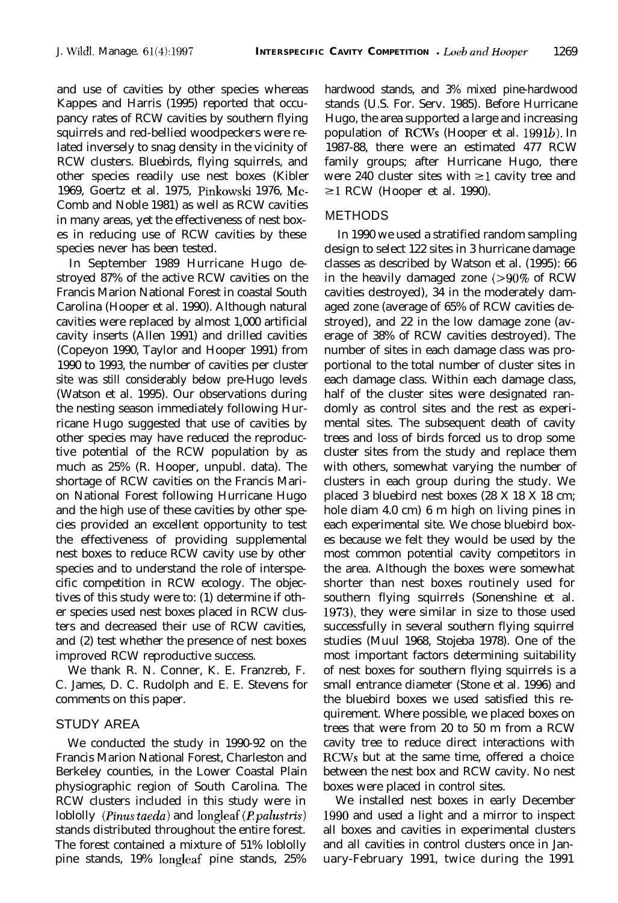and use of cavities by other species whereas Kappes and Harris (1995) reported that occupancy rates of RCW cavities by southern flying squirrels and red-bellied woodpeckers were related inversely to snag density in the vicinity of RCW clusters. Bluebirds, flying squirrels, and other species readily use nest boxes (Kibler 1969, Goertz et al. 1975, Pinkowski 1976, Mc-Comb and Noble 1981) as well as RCW cavities in many areas, yet the effectiveness of nest boxes in reducing use of RCW cavities by these species never has been tested.

In September 1989 Hurricane Hugo destroyed 87% of the active RCW cavities on the Francis Marion National Forest in coastal South Carolina (Hooper et al. 1990). Although natural cavities were replaced by almost 1,000 artificial cavity inserts (Allen 1991) and drilled cavities (Copeyon 1990, Taylor and Hooper 1991) from 1990 to 1993, the number of cavities per cluster site was still considerably below pre-Hugo levels (Watson et al. 1995). Our observations during the nesting season immediately following Hurricane Hugo suggested that use of cavities by other species may have reduced the reproductive potential of the RCW population by as much as 25% (R. Hooper, unpubl. data). The shortage of RCW cavities on the Francis Marion National Forest following Hurricane Hugo and the high use of these cavities by other species provided an excellent opportunity to test the effectiveness of providing supplemental nest boxes to reduce RCW cavity use by other species and to understand the role of interspecific competition in RCW ecology. The objectives of this study were to: (1) determine if other species used nest boxes placed in RCW clusters and decreased their use of RCW cavities, and (2) test whether the presence of nest boxes improved RCW reproductive success.

We thank R. N. Conner, K. E. Franzreb, F. C. James, D. C. Rudolph and E. E. Stevens for comments on this paper.

# STUDY AREA

We conducted the study in 1990-92 on the Francis Marion National Forest, Charleston and Berkeley counties, in the Lower Coastal Plain physiographic region of South Carolina. The RCW clusters included in this study were in loblolly (*Pinus taeda*) and longleaf (*P. palustris*) stands distributed throughout the entire forest. The forest contained a mixture of 51% loblolly pine stands, 19% longleaf pine stands, 25% hardwood stands, and 3% mixed pine-hardwood stands (U.S. For. Serv. 1985). Before Hurricane Hugo, the area supported a large and increasing population of RCWs (Hooper et al. 1991b). In 1987-88, there were an estimated 477 RCW family groups; after Hurricane Hugo, there were 240 cluster sites with  $\geq 1$  cavity tree and  $\geq$ 1 RCW (Hooper et al. 1990).

### METHODS

In 1990 we used a stratified random sampling design to select 122 sites in 3 hurricane damage classes as described by Watson et al. (1995): 66 in the heavily damaged zone (>90% of RCW cavities destroyed), 34 in the moderately damaged zone (average of 65% of RCW cavities destroyed), and 22 in the low damage zone (average of 38% of RCW cavities destroyed). The number of sites in each damage class was proportional to the total number of cluster sites in each damage class. Within each damage class, half of the cluster sites were designated randomly as control sites and the rest as experimental sites. The subsequent death of cavity trees and loss of birds forced us to drop some cluster sites from the study and replace them with others, somewhat varying the number of clusters in each group during the study. We placed 3 bluebird nest boxes (28 X 18 X 18 cm; hole diam 4.0 cm) 6 m high on living pines in each experimental site. We chose bluebird boxes because we felt they would be used by the most common potential cavity competitors in the area. Although the boxes were somewhat shorter than nest boxes routinely used for southern flying squirrels (Sonenshine et al. I973), they were similar in size to those used successfully in several southern flying squirrel studies (Muul 1968, Stojeba 1978). One of the most important factors determining suitability of nest boxes for southern flying squirrels is a small entrance diameter (Stone et al. 1996) and the bluebird boxes we used satisfied this requirement. Where possible, we placed boxes on trees that were from 20 to 50 m from a RCW cavity tree to reduce direct interactions with RCWs but at the same time, offered a choice between the nest box and RCW cavity. No nest boxes were placed in control sites.

We installed nest boxes in early December 1990 and used a light and a mirror to inspect all boxes and cavities in experimental clusters and all cavities in control clusters once in January-February 1991, twice during the 1991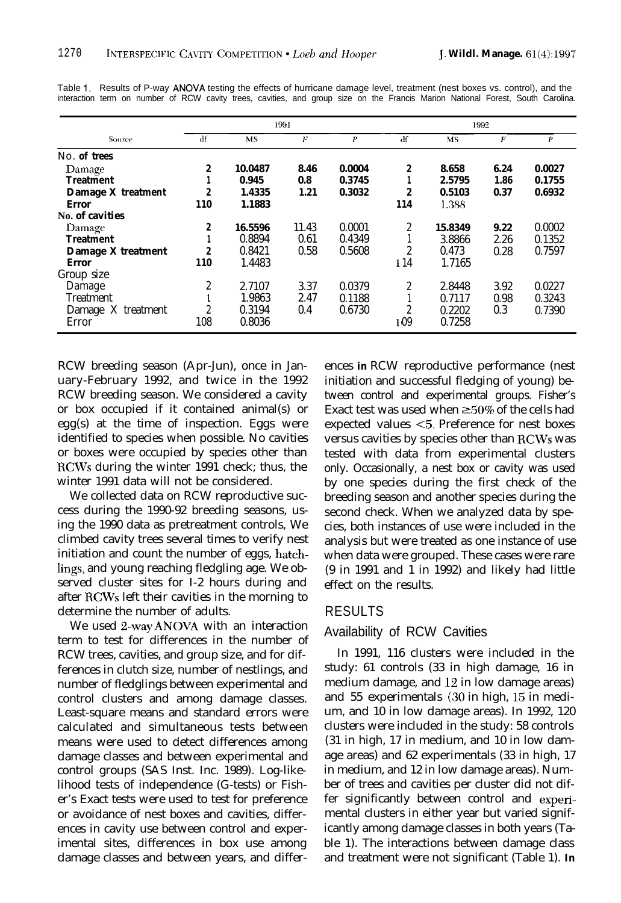|                    |                  |         | 1991  |                  |     | 1992    |      |                  |
|--------------------|------------------|---------|-------|------------------|-----|---------|------|------------------|
| Source             | df               | MS      | F     | $\boldsymbol{P}$ | df  | MS      | F    | $\boldsymbol{p}$ |
| No. of trees       |                  |         |       |                  |     |         |      |                  |
| Damage             | $\boldsymbol{2}$ | 10.0487 | 8.46  | 0.0004           | 2   | 8.658   | 6.24 | 0.0027           |
| <b>Treatment</b>   |                  | 0.945   | 0.8   | 0.3745           |     | 2.5795  | 1.86 | 0.1755           |
| Damage X treatment | $\boldsymbol{2}$ | 1.4335  | 1.21  | 0.3032           | 2   | 0.5103  | 0.37 | 0.6932           |
| Error              | 110              | 1.1883  |       |                  | 114 | 1.388   |      |                  |
| No. of cavities    |                  |         |       |                  |     |         |      |                  |
| Damage             | 2                | 16.5596 | 11.43 | 0.0001           | 2   | 15.8349 | 9.22 | 0.0002           |
| <b>Treatment</b>   |                  | 0.8894  | 0.61  | 0.4349           |     | 3.8866  | 2.26 | 0.1352           |
| Damage X treatment | $\boldsymbol{2}$ | 0.8421  | 0.58  | 0.5608           | 2   | 0.473   | 0.28 | 0.7597           |
| <b>Error</b>       | 110              | 1.4483  |       |                  | 114 | 1.7165  |      |                  |
| Group size         |                  |         |       |                  |     |         |      |                  |
| Damage             | $\boldsymbol{2}$ | 2.7107  | 3.37  | 0.0379           | 2   | 2.8448  | 3.92 | 0.0227           |
| <b>Treatment</b>   |                  | 1.9863  | 2.47  | 0.1188           |     | 0.7117  | 0.98 | 0.3243           |
| Damage X treatment | 2                | 0.3194  | 0.4   | 0.6730           | 2   | 0.2202  | 0.3  | 0.7390           |
| Error              | 108              | 0.8036  |       |                  | 109 | 0.7258  |      |                  |

Table 1. Results of P-way ANOVA testing the effects of hurricane damage level, treatment (nest boxes vs. control), and the interaction term on number of RCW cavity trees, cavities, and group size on the Francis Marion National Forest, South Carolina.

RCW breeding season (Apr-Jun), once in January-February 1992, and twice in the 1992 RCW breeding season. We considered a cavity or box occupied if it contained animal(s) or egg(s) at the time of inspection. Eggs were identified to species when possible. No cavities or boxes were occupied by species other than RCWs during the winter 1991 check; thus, the winter 1991 data will not be considered.

We collected data on RCW reproductive success during the 1990-92 breeding seasons, using the 1990 data as pretreatment controls, We climbed cavity trees several times to verify nest initiation and count the number of eggs, hatchlings, and young reaching fledgling age. We observed cluster sites for I-2 hours during and after RCWs left their cavities in the morning to determine the number of adults.

We used 2-way ANOVA with an interaction term to test for differences in the number of RCW trees, cavities, and group size, and for differences in clutch size, number of nestlings, and number of fledglings between experimental and control clusters and among damage classes. Least-square means and standard errors were calculated and simultaneous tests between means were used to detect differences among damage classes and between experimental and control groups (SAS Inst. Inc. 1989). Log-likelihood tests of independence (G-tests) or Fisher's Exact tests were used to test for preference or avoidance of nest boxes and cavities, differences in cavity use between control and experimental sites, differences in box use among damage classes and between years, and differ-

ences **in** RCW reproductive performance (nest initiation and successful fledging of young) between control and experimental groups. Fisher's Exact test was used when  $\geq 50\%$  of the cells had expected values <5. Preference for nest boxes versus cavities by species other than RCWs was tested with data from experimental clusters only. Occasionally, a nest box or cavity was used by one species during the first check of the breeding season and another species during the second check. When we analyzed data by species, both instances of use were included in the analysis but were treated as one instance of use when data were grouped. These cases were rare (9 in 1991 and 1 in 1992) and likely had little effect on the results.

## RESULTS

# Availability of RCW Cavities

In 1991, 116 clusters were included in the study: 61 controls (33 in high damage, 16 in medium damage, and 12 in low damage areas) and 55 experimentals (30 in high, I5 in medium, and 10 in low damage areas). In 1992, 120 clusters were included in the study: 58 controls (31 in high, 17 in medium, and 10 in low damage areas) and 62 experimentals (33 in high, 17 in medium, and 12 in low damage areas). Number of trees and cavities per cluster did not differ significantly between control and experimental clusters in either year but varied significantly among damage classes in both years (Table 1). The interactions between damage class and treatment were not significant (Table 1). **In**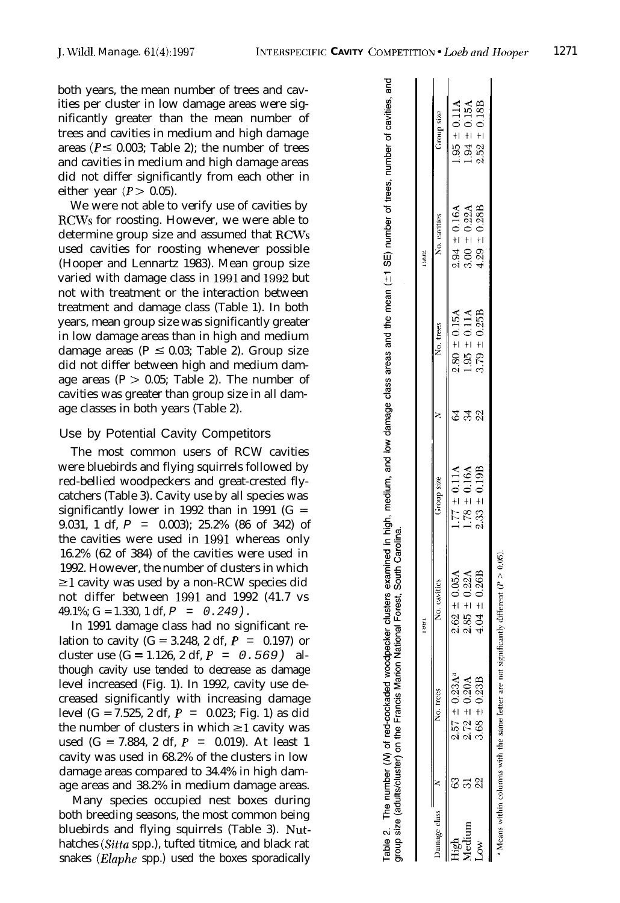both years, the mean number of trees and cavities per cluster in low damage areas were significantly greater than the mean number of trees and cavities in medium and high damage areas ( $P \le 0.003$ ; Table 2); the number of trees and cavities in medium and high damage areas did not differ significantly from each other in either year  $(P > 0.05)$ .

We were not able to verify use of cavities by RCWs for roosting. However, we were able to determine group size and assumed that RCWs used cavities for roosting whenever possible (Hooper and Lennartz 1983). Mean group size varied with damage class in 1991 and I992 but not with treatment or the interaction between treatment and damage class (Table 1). In both years, mean group size was significantly greater in low damage areas than in high and medium damage areas ( $P \le 0.03$ ; Table 2). Group size did not differ between high and medium damage areas  $(P > 0.05$ : Table 2). The number of cavities was greater than group size in all damage classes in both years (Table 2).

# Use by Potential Cavity Competitors

The most common users of RCW cavities were bluebirds and flying squirrels followed by red-bellied woodpeckers and great-crested flycatchers (Table 3). Cavity use by all species was significantly lower in 1992 than in 1991 ( $G =$ 9.031, 1 df, *P =* 0.003); 25.2% (86 of 342) of the cavities were used in I991 whereas only 16.2% (62 of 384) of the cavities were used in 1992. However, the number of clusters in which  $\geq$ 1 cavity was used by a non-RCW species did not differ between I991 and 1992 (41.7 vs 49.1%; G = 1.330, 1 df, *P = 0.249).*

In 1991 damage class had no significant relation to cavity  $(G = 3.248, 2 df, P = 0.197)$  or cluster use (G = 1.126, 2 df, *P = 0.569)* although cavity use tended to decrease as damage level increased (Fig. 1). In 1992, cavity use decreased significantly with increasing damage level (G = 7.525, 2 df, *P =* 0.023; Fig. 1) as did the number of clusters in which  $\geq$  cavity was used (G = 7.884, 2 df, *P =* 0.019). At least 1 cavity was used in 68.2% of the clusters in low damage areas compared to 34.4% in high damage areas and 38.2% in medium damage areas.

Many species occupied nest boxes during both breeding seasons, the most common being bluebirds and flying squirrels (Table 3). Nuthatches (Sitta spp.), tufted titmice, and black rat snakes *(Elaphe* spp.) used the boxes sporadically

|              | proup size (adults/cluster) on the Francis Marion | Table 2. The number (M) of red-cockaded woodpecker clusters examined in high, medium, and low damage class areas areas and the mean (±1 SE) number of trees, number of cavities, and<br>National Forest, South Carolina. |                   |                   |                   |                   |
|--------------|---------------------------------------------------|--------------------------------------------------------------------------------------------------------------------------------------------------------------------------------------------------------------------------|-------------------|-------------------|-------------------|-------------------|
|              |                                                   | 1991                                                                                                                                                                                                                     |                   |                   | 7881              |                   |
| Damage class | No. trees                                         | No. cavities                                                                                                                                                                                                             | Group size        | No. trees         | No. cavities      | Group size        |
|              | $2.57 \pm 0.23$ A <sup>a</sup>                    | $2.62 \pm 0.05A$                                                                                                                                                                                                         | $1.77 \pm 0.11$ A | $2.80 \pm 0.15$ A | $2.94 \pm 0.16$ A | $1.95 \pm 0.11A$  |
|              | $2.72 \pm 0.20$ A                                 | $2.85 \pm 0.22A$                                                                                                                                                                                                         | $1.78 \pm 0.16A$  | $1.95 \pm 0.11A$  | $3.00 \pm 0.22$ A | $1.94 \pm 0.15$ A |
|              | $3.68 \pm 0.23B$                                  | $4.04 \pm 0.26B$                                                                                                                                                                                                         | $2.33 \pm 0.19B$  | $3.79 \pm 0.25B$  | $4.29 \pm 0.28B$  | $2.52 \pm 0.18B$  |
|              |                                                   |                                                                                                                                                                                                                          |                   |                   |                   |                   |

<sup>a</sup> Means within columns with the same letter are not significantly different ( $P > 0.05$ )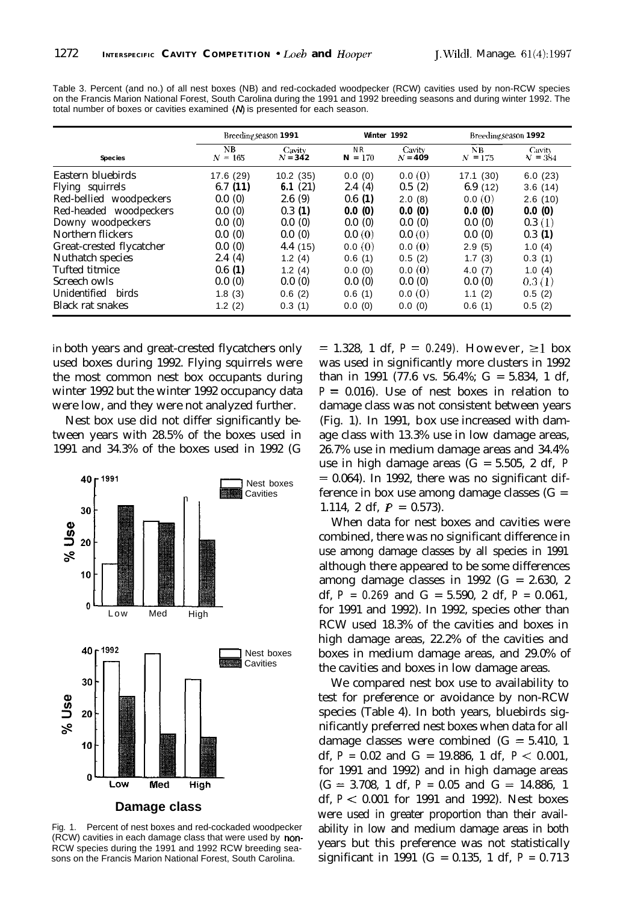|                          | Breeding season 1991 |                     |                                | Winter 1992         | Breeding season 1992 |                     |
|--------------------------|----------------------|---------------------|--------------------------------|---------------------|----------------------|---------------------|
| <b>Species</b>           | NB<br>$N = 165$      | Cavity<br>$N = 342$ | N <sub>R</sub><br>$= 170$<br>N | Cavity<br>$N = 409$ | NB.<br>$= 175$<br>N  | Cavity<br>$V = 384$ |
| Eastern bluebirds        | 17.6 (29)            | 10.2(35)            | 0.0(0)                         | 0.0(0)              | 17.1(30)             | 6.0(23)             |
| Flying squirrels         | 6.7(11)              | 6.1 $(21)$          | 2.4(4)                         | 0.5(2)              | 6.9(12)              | 3.6(14)             |
| Red-bellied woodpeckers  | 0.0(0)               | 2.6(9)              | 0.6(1)                         | 2.0(8)              | 0.0(0)               | 2.6(10)             |
| Red-headed woodpeckers   | 0.0(0)               | 0.3(1)              | 0.0(0)                         | 0.0(0)              | 0.0(0)               | 0.0(0)              |
| Downy woodpeckers        | 0.0(0)               | 0.0(0)              | 0.0(0)                         | 0.0(0)              | 0.0(0)               | 0.3(1)              |
| Northern flickers        | 0.0(0)               | 0.0(0)              | 0.0(0)                         | 0.0(0)              | 0.0(0)               | 0.3(1)              |
| Great-crested flycatcher | 0.0(0)               | 4.4(15)             | 0.0(0)                         | 0.0(0)              | 2.9(5)               | 1.0(4)              |
| Nuthatch species         | 2.4(4)               | 1.2(4)              | 0.6(1)                         | 0.5(2)              | 1.7(3)               | 0.3(1)              |
| Tufted titmice           | 0.6(1)               | 1.2(4)              | 0.0(0)                         | 0.0(0)              | 4.0(7)               | 1.0(4)              |
| Screech owls             | 0.0(0)               | 0.0(0)              | 0.0(0)                         | 0.0(0)              | 0.0(0)               | 0.3(1)              |
| Unidentified birds       | 1.8(3)               | 0.6(2)              | 0.6(1)                         | 0.0(0)              | 1.1(2)               | 0.5(2)              |
| <b>Black rat snakes</b>  | 1.2(2)               | 0.3(1)              | 0.0(0)                         | 0.0(0)              | 0.6(1)               | 0.5(2)              |

Table 3. Percent (and no.) of all nest boxes (NB) and red-cockaded woodpecker (RCW) cavities used by non-RCW species on the Francis Marion National Forest, South Carolina during the 1991 and 1992 breeding seasons and during winter 1992. The total number of boxes or cavities examined  $(N)$  is presented for each season.

in both years and great-crested flycatchers only used boxes during 1992. Flying squirrels were the most common nest box occupants during winter 1992 but the winter 1992 occupancy data were low, and they were not analyzed further.

Nest box use did not differ significantly between years with 28.5% of the boxes used in 1991 and 34.3% of the boxes used in 1992 (G



Fig. 1. Percent of nest boxes and red-cockaded woodpecker (RCW) cavities in each damage class that were used by non-RCW species during the 1991 and 1992 RCW breeding seasons on the Francis Marion National Forest, South Carolina.

 $= 1.328$ , 1 df,  $P = 0.249$ . However,  $\geq 1$  box was used in significantly more clusters in 1992 than in 1991 (77.6 vs. 56.4%;  $G = 5.834$ , 1 df,  $P = 0.016$ . Use of nest boxes in relation to damage class was not consistent between years (Fig. 1). In 1991, box use increased with damage class with 13.3% use in low damage areas, 26.7% use in medium damage areas and 34.4% use in high damage areas  $(G = 5.505, 2 df, P)$ *=* 0.064). In 1992, there was no significant difference in box use among damage classes  $(G =$ 1.114, 2 df,  $P = 0.573$ .

When data for nest boxes and cavities were combined, there was no significant difference in use among damage classes by all species in 1991 although there appeared to be some differences among damage classes in 1992  $(G = 2.630, 2)$ df,  $P = 0.269$  and  $G = 5.590$ , 2 df,  $P = 0.061$ , for 1991 and 1992). In 1992, species other than RCW used 18.3% of the cavities and boxes in high damage areas, 22.2% of the cavities and boxes in medium damage areas, and 29.0% of the cavities and boxes in low damage areas.

We compared nest box use to availability to test for preference or avoidance by non-RCW species (Table 4). In both years, bluebirds significantly preferred nest boxes when data for all damage classes were combined  $(G = 5.410, 1$ df, *P =* 0.02 and G = 19.886, 1 df, *P <* 0.001, for 1991 and 1992) and in high damage areas  $(G = 3.708, 1 df, P = 0.05 and G = 14.886, 1$ df, *P <* 0.001 for 1991 and 1992). Nest boxes were used in greater proportion than their availability in low and medium damage areas in both years but this preference was not statistically significant in 1991 (G = 0.135, 1 df,  $P = 0.713$ )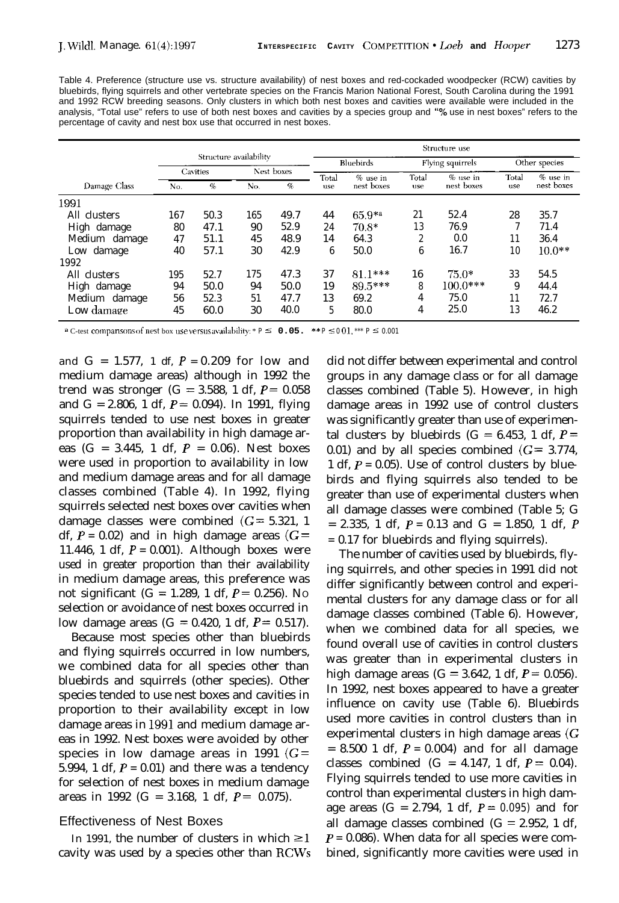Table 4. Preference (structure use vs. structure availability) of nest boxes and red-cockaded woodpecker (RCW) cavities by bluebirds, flying squirrels and other vertebrate species on the Francis Marion National Forest, South Carolina during the 1991 and 1992 RCW breeding seasons. Only clusters in which both nest boxes and cavities were available were included in the analysis, "Total use" refers to use of both nest boxes and cavities by a species group and "% use in nest boxes" refers to the percentage of cavity and nest box use that occurred in nest boxes.

|               | Structure use          |          |     |            |           |                  |       |            |               |            |
|---------------|------------------------|----------|-----|------------|-----------|------------------|-------|------------|---------------|------------|
|               | Structure availability |          |     |            | Bluebirds | Flying squirrels |       |            | Other species |            |
|               |                        | Cavities |     | Nest boxes | Total     | $%$ use in       | Total | $%$ use in | Total         | % use in   |
| Damage Class  | No.                    | $\%$     | No. | %          | use       | nest boxes       | use   | nest boxes | use           | nest boxes |
| 1991          |                        |          |     |            |           |                  |       |            |               |            |
| All clusters  | 167                    | 50.3     | 165 | 49.7       | 44        | $65.9^{*a}$      | 21    | 52.4       | 28            | 35.7       |
| High damage   | 80                     | 47.1     | 90  | 52.9       | 24        | $70.8*$          | 13    | 76.9       |               | 71.4       |
| Medium damage | 47                     | 51.1     | 45  | 48.9       | 14        | 64.3             | 2     | 0.0        | 11            | 36.4       |
| Low damage    | 40                     | 57.1     | 30  | 42.9       | 6         | 50.0             | 6     | 16.7       | 10            | $10.0**$   |
| 1992          |                        |          |     |            |           |                  |       |            |               |            |
| All clusters  | 195                    | 52.7     | 175 | 47.3       | 37        | $81.1***$        | 16    | $75.0*$    | 33            | 54.5       |
| High damage   | 94                     | 50.0     | 94  | 50.0       | 19        | 89.5***          | 8     | $100.0***$ | 9             | 44.4       |
| Medium damage | 56                     | 52.3     | 51  | 47.7       | 13        | 69.2             | 4     | 75.0       | 11            | 72.7       |
| Low damage    | 45                     | 60.0     | 30  | 40.0       | 5         | 80.0             | 4     | 25.0       | 13            | 46.2       |

<sup>a</sup> C-test compansons of nest box use versus availability: \*  $P \le 0.05$ . \*\*  $P \le 0.01$ , \*\*\*  $P \le 0.001$ 

and  $G = 1.577$ , 1 df,  $P = 0.209$  for low and medium damage areas) although in 1992 the trend was stronger (G = 3.588, 1 df,  $P = 0.058$ ) and G = 2.806, 1 df,  $P = 0.094$ ). In 1991, flying squirrels tended to use nest boxes in greater proportion than availability in high damage areas  $(G = 3.445, 1 df, P = 0.06)$ . Nest boxes were used in proportion to availability in low and medium damage areas and for all damage classes combined (Table 4). In 1992, flying squirrels selected nest boxes over cavities when damage classes were combined  $(G = 5.321, 1)$ df,  $P = 0.02$ ) and in high damage areas ( $G =$ 11.446, 1 df,  $P = 0.001$ . Although boxes were used in greater proportion than their availability in medium damage areas, this preference was not significant (G = 1.289, 1 df, *P =* 0.256). NO selection or avoidance of nest boxes occurred in low damage areas  $(G = 0.420, 1 \text{ df}, P = 0.517)$ .

Because most species other than bluebirds and flying squirrels occurred in low numbers, we combined data for all species other than bluebirds and squirrels (other species). Other species tended to use nest boxes and cavities in proportion to their availability except in low damage areas in 1991 and medium damage areas in 1992. Nest boxes were avoided by other species in low damage areas in 1991 ( $G =$ 5.994, 1 df,  $P = 0.01$ ) and there was a tendency for selection of nest boxes in medium damage areas in 1992 (G = 3.168, 1 df,  $P = 0.075$ ).

#### Effectiveness of Nest Boxes

In 1991, the number of clusters in which  $\geq 1$ cavity was used by a species other than RCWs did not differ between experimental and control groups in any damage class or for all damage classes combined (Table 5). However, in high damage areas in 1992 use of control clusters was significantly greater than use of experimental clusters by bluebirds ( $G = 6.453$ , 1 df,  $P =$ 0.01) and by all species combined  $(G = 3.774,$ 1 df,  $P = 0.05$ ). Use of control clusters by bluebirds and flying squirrels also tended to be greater than use of experimental clusters when all damage classes were combined (Table 5; G  $= 2.335, 1 \text{ df}, P = 0.13 \text{ and } G = 1.850, 1 \text{ df}, P$ *=* 0.17 for bluebirds and flying squirrels).

The number of cavities used by bluebirds, flying squirrels, and other species in 1991 did not differ significantly between control and experimental clusters for any damage class or for all damage classes combined (Table 6). However, when we combined data for all species, we found overall use of cavities in control clusters was greater than in experimental clusters in high damage areas ( $G = 3.642$ , 1 df,  $P = 0.056$ ). In 1992, nest boxes appeared to have a greater influence on cavity use (Table 6). Bluebirds used more cavities in control clusters than in experimental clusters in high damage areas (G  $= 8.500$  1 df,  $P = 0.004$  and for all damage classes combined  $(G = 4.147, 1 df, P = 0.04)$ . Flying squirrels tended to use more cavities in control than experimental clusters in high damage areas  $(G = 2.794, 1 df, P = 0.095)$  and for all damage classes combined  $(G = 2.952, 1 df, )$ *P =* 0.086). When data for all species were combined, significantly more cavities were used in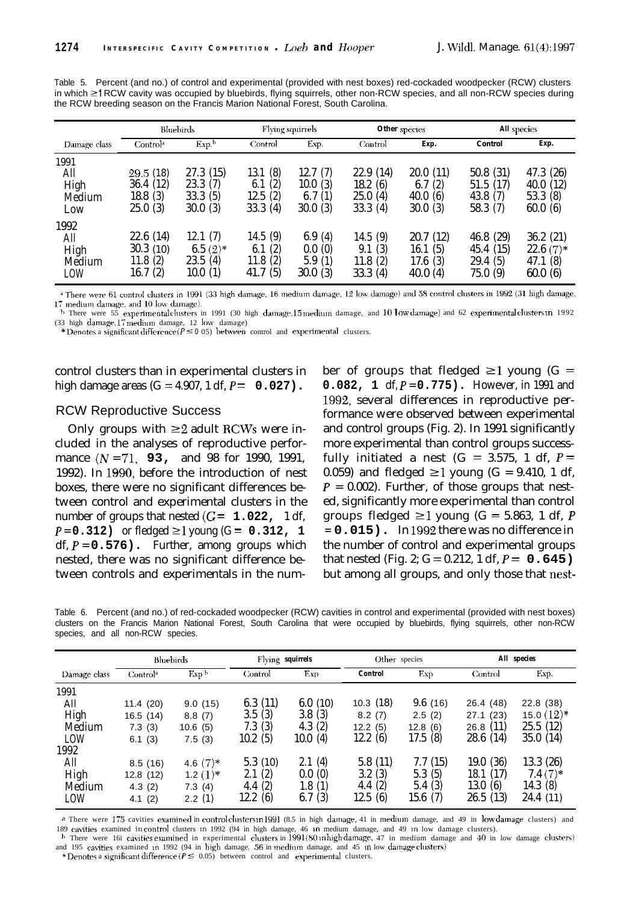| the RCW breeding season on the Francis Marion National Forest, South Carolina. |                                            |                                           |                                                 |                                         |                                           |                                          |                                                |                                             |
|--------------------------------------------------------------------------------|--------------------------------------------|-------------------------------------------|-------------------------------------------------|-----------------------------------------|-------------------------------------------|------------------------------------------|------------------------------------------------|---------------------------------------------|
|                                                                                |                                            | Bluebirds<br>Flying squirrels             |                                                 |                                         | Other species                             |                                          | All species                                    |                                             |
| Damage class                                                                   | Control <sup>a</sup>                       | Exp <sup>b</sup>                          | Control                                         | Exp.                                    | Control                                   | Exp.                                     | Control                                        | Exp.                                        |
| 1991<br>All<br>High<br>Medium<br>Low                                           | 29.5(18)<br>36.4(12)<br>18.8(3)<br>25.0(3) | 27.3(15)<br>23.3(7)<br>33.3(5)<br>30.0(3) | (8)<br>13.1<br>(2)<br>6.1<br>12.5(2)<br>33.3(4) | 12.7(7)<br>10.0(3)<br>6.7(1)<br>30.0(3) | 22.9(14)<br>18.2(6)<br>25.0(4)<br>33.3(4) | 20.0(11)<br>6.7(2)<br>40.0(6)<br>30.0(3) | 50.8 (31)<br>51.5 (17)<br>43.8 (7)<br>58.3 (7) | 47.3 (26)<br>40.0(12)<br>53.3(8)<br>60.0(6) |

Table 5. Percent (and no.) of control and experimental (provided with nest boxes) red-cockaded woodpecker (RCW) clusters in which 21 RCW cavity was occupied by bluebirds, flying squirrels, other non-RCW species, and all non-RCW species during the RCW breeding season on the Francis Marion National Forest, South Carolina.

<sup>a</sup> There were 61 control clusters in 1991 (33 high damage, 16 medium damage, 12 low damage) and 58 control clusters in 1992 (31 high damage, 17 medium damage, and 10 low damage).

22.6 (14) 12.1 (7) 14.5 (9) 6.9 (4) 14.5 (9) 20.7 (12) 46.8 (29) 36.2 (21) 30.3 (10) 6.5 (2)\* 6.1 (2) 0.0 (0) 9.1 (3) 16.1 (5) 45.4 (15) 22.6 (7)\* 11.8 (2) 23.5 (4) 11.8 (2) 5.9 (1) 11.8 (2) 17.6 (3) 29.4 (5) 47.1 (8) 16.7 (2) 10.0 (1) 41.7 (5) 30.0 (3) 33.3 (4) 40.0 (4) 75.0 (9) 60.0 (6)

<sup>-b</sup> There were 55 experimentalclusters in 1991 (30 high damage,15 medium damage, and 10 Iow damage) and 62 experimentalclusters:m 1992<br>(33 high damage,17 medium damage, 12 low damage)

\* Denotes a significant difference  $(P \le 0.05)$  between control and experimental clusters.

control clusters than in experimental clusters in high damage areas  $(G = 4.907, 1 \text{ df}, P = 0.027)$ .

### RCW Reproductive Success

1992 All High Medium LOW

Only groups with  $\geq 2$  adult RCWs were included in the analyses of reproductive performance (N = **71, 93,** and 98 for 1990, 1991, 1992). In 1990, before the introduction of nest boxes, there were no significant differences between control and experimental clusters in the number of groups that nested  $(G = 1.022, 1$  df,  $P = 0.312$ ) or fledged  $\geq 1$  young (G = 0.312, 1 df,  $P = 0.576$ ). Further, among groups which nested, there was no significant difference between controls and experimentals in the number of groups that fledged  $\geq 1$  young (G = **0.082, 1** df, P = **0.775).** However, in 1991 and 1992, several differences in reproductive performance were observed between experimental and control groups (Fig. 2). In 1991 significantly more experimental than control groups successfully initiated a nest (G = 3.575, 1 df,  $P =$ 0.059) and fledged  $\geq$  l young (G = 9.410, 1 df,  $P = 0.002$ ). Further, of those groups that nested, significantly more experimental than control groups fledged  $\geq$  lyoung (G = 5.863, 1 df, P *=* **0.015).** In 1992 there was no difference in the number of control and experimental groups that nested (Fig. 2;  $G = 0.212, 1$  df,  $P = 0.645$ ) but among all groups, and only those that nest-

Table 6. Percent (and no.) of red-cockaded woodpecker (RCW) cavities in control and experimental (provided with nest boxes) clusters on the Francis Marion National Forest, South Carolina that were occupied by bluebirds, flying squirrels, other non-RCW species, and all non-RCW species.

|              | Bluebirds            |             | Flying squirrels |         | Other species |         |              | All species  |
|--------------|----------------------|-------------|------------------|---------|---------------|---------|--------------|--------------|
| Damage class | Control <sup>a</sup> | Exp b       | Control          | Exp     | Control       | Exp     | Control      | Exp.         |
| 1991         |                      |             |                  |         |               |         |              |              |
| All          | 11.4(20)             | 9.0(15)     | 6.3(11)          | 6.0(10) | 10.3(18)      | 9.6(16) | 26.4 (48)    | 22.8 (38)    |
| High         | 16.5(14)             | 8.8(7)      | 3.5(3)           | 3.8(3)  | 8.2(7)        | 2.5(2)  | (23)<br>27.1 | 15.0 $(12)*$ |
| Medium       | 7.3(3)               | 10.6(5)     | 7.3(3)           | 4.3(2)  | 12.2(5)       | 12.8(6) | 26.8(11)     | 25.5(12)     |
| LOW          | 6.1(3)               | 7.5(3)      | 10.2(5)          | 10.0(4) | 12.2(6)       | 17.5(8) | 28.6 (14)    | 35.0(14)     |
| 1992         |                      |             |                  |         |               |         |              |              |
| All          | 8.5(16)              | 4.6 $(7)$ * | 5.3(10)          | 2.1(4)  | 5.8(11)       | 7.7(15) | (36)<br>19.0 | 13.3 (26)    |
| High         | 12.8(12)             | $1.2(1)*$   | 2.1(2)           | 0.0(0)  | 3.2(3)        | 5.3(5)  | (17)<br>18.1 | $7.4(7)*$    |
| Medium       | 4.3(2)               | 7.3(4)      | 4.4(2)           | 1.8(1)  | 4.4(2)        | 5.4(3)  | 13.0<br>(6)  | 14.3(8)      |
| LOW          | 4.1(2)               | 2.2(1)      | 12.2 (6)         | 6.7(3)  | 12.5(6)       | 15.6(7) | 26.5 (13)    | 24.4(11)     |

<sup>a</sup> There were 175 cavities examined in control clusters in 1991 (8.5 in high damage, 41 in medium damage, and 49 in low damage clusters) and 189 cantles examined in control clusters m 1992 (94 in high damage, 46 m medium damage, and 49 m low damage clusters).

h There were 16i cavities examined in experimental clusters in 1991 (80 m high damage, 47 in medium damage and 40 in low damage clusters) and 195 cavities examined in 1992 (94 in high damage. 56 in medium damage, and 45 in low damage clusters)

\* Denotes a significant difference  $(P \le 0.05)$  between control and experimental clusters.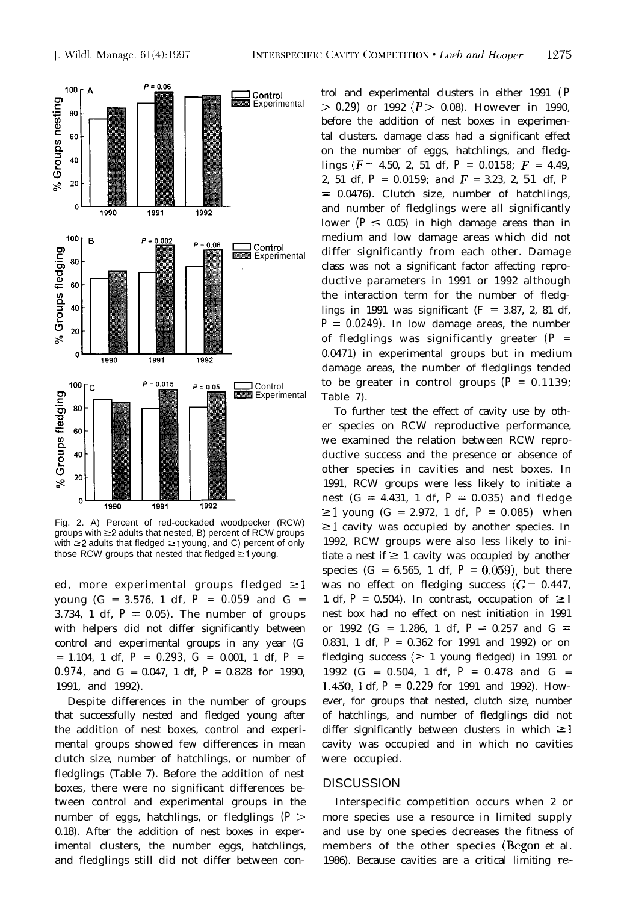

Fig. 2. A) Percent of red-cockaded woodpecker (RCW) groups with  $\geq$  2 adults that nested, B) percent of RCW groups with  $\geq$  2 adults that fledged  $\geq$  1 young, and C) percent of only those RCW groups that nested that fledged  $\geq 1$  young.

ed, more experimental groups fledged  $\geq$  1 young (G = 3.576, 1 df, *P = 0.059* and G = 3.734, 1 df,  $P = 0.05$ ). The number of groups with helpers did not differ significantly between control and experimental groups in any year (G = 1.104, 1 df, *P = 0.293, G =* 0.001, 1 df, *P = 0.974,* and G = 0.047, 1 df, *P =* 0.828 for 1990, 1991, and 1992).

Despite differences in the number of groups that successfully nested and fledged young after the addition of nest boxes, control and experimental groups showed few differences in mean clutch size, number of hatchlings, or number of fledglings (Table 7). Before the addition of nest boxes, there were no significant differences between control and experimental groups in the number of eggs, hatchlings, or fledglings *(P >* 0.18). After the addition of nest boxes in experimental clusters, the number eggs, hatchlings, and fledglings still did not differ between control and experimental clusters in either 1991 *( P > 0.29)* or 1992 *(P >* 0.08). However in 1990, before the addition of nest boxes in experimental clusters. damage class had a significant effect on the number of eggs, hatchlings, and fledglings ( $F = 4.50$ , 2, 51 df,  $P = 0.0158$ ;  $F = 4.49$ , 2, 51 df, *P =* 0.0159; and F = 3.23, 2, 51 df, *P =* 0.0476). Clutch size, number of hatchlings, and number of fledglings were all significantly lower  $(P \le 0.05)$  in high damage areas than in medium and low damage areas which did not differ significantly from each other. Damage class was not a significant factor affecting reproductive parameters in 1991 or 1992 although the interaction term for the number of fledglings in 1991 was significant ( $F = 3.87$ , 2, 81 df,  $P = 0.0249$ . In low damage areas, the number of fledglings was significantly greater *(P =* 0.0471) in experimental groups but in medium damage areas, the number of fledglings tended to be greater in control groups  $(P = 0.1139)$ ; Table 7).

To further test the effect of cavity use by other species on RCW reproductive performance, we examined the relation between RCW reproductive success and the presence or absence of other species in cavities and nest boxes. In 1991, RCW groups were less likely to initiate a nest  $(G = 4.431, 1 df, P = 0.035)$  and fledge  $\geq$ 1 young (G = 2.972, 1 df, P = 0.085) when  $\geq 1$  cavity was occupied by another species. In 1992, RCW groups were also less likely to initiate a nest if  $\geq 1$  cavity was occupied by another species (G =  $6.565$ , 1 df,  $P = 0.059$ ), but there was no effect on fledging success  $(G = 0.447,$ 1 df,  $P = 0.504$ ). In contrast, occupation of  $\geq 1$ nest box had no effect on nest initiation in 1991 or 1992 (G = 1.286, 1 df,  $P = 0.257$  and G = 0.831, 1 df, *P =* 0.362 for 1991 and 1992) or on fledging success  $(\geq 1$  young fledged) in 1991 or 1992 (G = 0.504, 1 df, *P =* 0.478 and G = 1.450,l df, *P = 0.229* for 1991 and 1992). However, for groups that nested, clutch size, number of hatchlings, and number of fledglings did not differ significantly between clusters in which  $\geq 1$ cavity was occupied and in which no cavities were occupied.

#### DISCUSSION

Interspecific competition occurs when 2 or more species use a resource in limited supply and use by one species decreases the fitness of members of the other species (Begon et al. 1986). Because cavities are a critical limiting re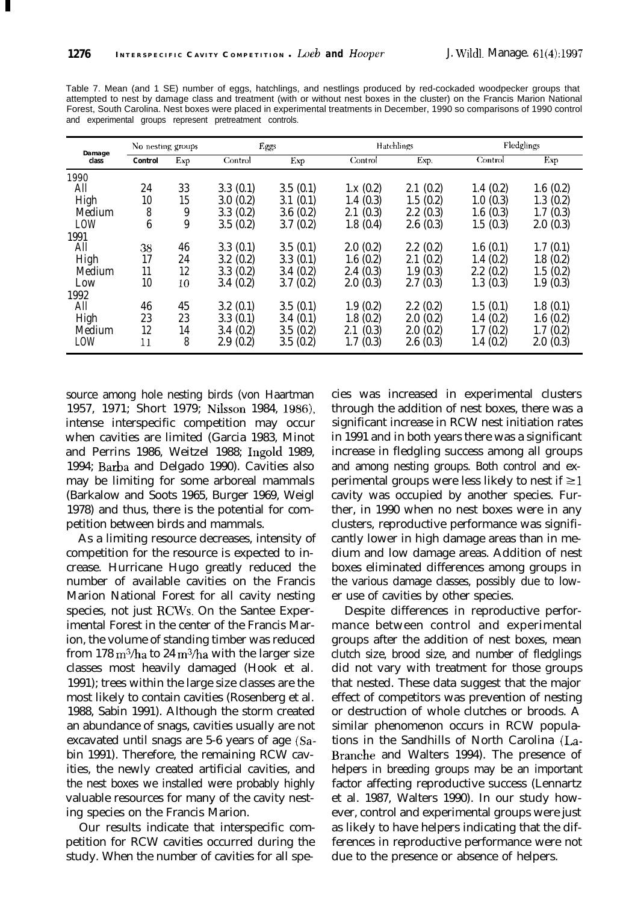I

Table 7. Mean (and 1 SE) number of eggs, hatchlings, and nestlings produced by red-cockaded woodpecker groups that attempted to nest by damage class and treatment (with or without nest boxes in the cluster) on the Francis Marion National Forest, South Carolina. Nest boxes were placed in experimental treatments in December, 1990 so comparisons of 1990 control and experimental groups represent pretreatment controls.

| Damage | No nesting groups |     |          | Eggs     |                  | <b>Hatchlings</b> | Fledglings |          |
|--------|-------------------|-----|----------|----------|------------------|-------------------|------------|----------|
| class  | Control           | Exp | Control  | Exp      | Control          | Exp.              | Control    | Exp      |
| 1990   |                   |     |          |          |                  |                   |            |          |
| All    | 24                | 33  | 3.3(0.1) | 3.5(0.1) | 1.x(0.2)         | 2.1(0.2)          | 1.4(0.2)   | 1.6(0.2) |
| High   | 10                | 15  | 3.0(0.2) | 3.1(0.1) | 1.4(0.3)         | 1.5(0.2)          | 1.0(0.3)   | 1.3(0.2) |
| Medium | 8                 | 9   | 3.3(0.2) | 3.6(0.2) | 2.1(0.3)         | 2.2(0.3)          | 1.6(0.3)   | 1.7(0.3) |
| LOW    | 6                 | 9   | 3.5(0.2) | 3.7(0.2) | 1.8(0.4)         | 2.6(0.3)          | 1.5(0.3)   | 2.0(0.3) |
| 1991   |                   |     |          |          |                  |                   |            |          |
| All    | 38                | 46  | 3.3(0.1) | 3.5(0.1) | 2.0(0.2)         | 2.2(0.2)          | 1.6(0.1)   | 1.7(0.1) |
| High   | 17                | 24  | 3.2(0.2) | 3.3(0.1) | 1.6(0.2)         | 2.1(0.2)          | 1.4(0.2)   | 1.8(0.2) |
| Medium | 11                | 12  | 3.3(0.2) | 3.4(0.2) | 2.4(0.3)         | 1.9(0.3)          | 2.2(0.2)   | 1.5(0.2) |
| Low    | 10                | 10  | 3.4(0.2) | 3.7(0.2) | (0.3)<br>$2.0\,$ | 2.7(0.3)          | 1.3(0.3)   | 1.9(0.3) |
| 1992   |                   |     |          |          |                  |                   |            |          |
| All    | 46                | 45  | 3.2(0.1) | 3.5(0.1) | 1.9(0.2)         | 2.2(0.2)          | 1.5(0.1)   | 1.8(0.1) |
| High   | 23                | 23  | 3.3(0.1) | 3.4(0.1) | 1.8(0.2)         | 2.0(0.2)          | 1.4(0.2)   | 1.6(0.2) |
| Medium | 12                | 14  | 3.4(0.2) | 3.5(0.2) | (0.3)<br>2.1     | 2.0(0.2)          | 1.7(0.2)   | 1.7(0.2) |
| LOW    | 11                | 8   | 2.9(0.2) | 3.5(0.2) | (0.3)<br>1.7     | 2.6(0.3)          | 1.4(0.2)   | 2.0(0.3) |

source among hole nesting birds (von Haartman 1957, 1971; Short 1979; Nilsson 1984, 1986), intense interspecific competition may occur when cavities are limited (Garcia 1983, Minot and Perrins 1986, Weitzel 1988; Ingold 1989, 1994; Barba and Delgado 1990). Cavities also may be limiting for some arboreal mammals (Barkalow and Soots 1965, Burger 1969, Weigl 1978) and thus, there is the potential for competition between birds and mammals.

As a limiting resource decreases, intensity of competition for the resource is expected to increase. Hurricane Hugo greatly reduced the number of available cavities on the Francis Marion National Forest for all cavity nesting species, not just RCWs. On the Santee Experimental Forest in the center of the Francis Marion, the volume of standing timber was reduced from 178 m<sup>3</sup>/ha to 24 m<sup>3</sup>/ha with the larger size classes most heavily damaged (Hook et al. 1991); trees within the large size classes are the most likely to contain cavities (Rosenberg et al. 1988, Sabin 1991). Although the storm created an abundance of snags, cavities usually are not excavated until snags are 5-6 years of age (Sabin 1991). Therefore, the remaining RCW cavities, the newly created artificial cavities, and the nest boxes we installed were probably highly valuable resources for many of the cavity nesting species on the Francis Marion.

Our results indicate that interspecific competition for RCW cavities occurred during the study. When the number of cavities for all species was increased in experimental clusters through the addition of nest boxes, there was a significant increase in RCW nest initiation rates in 1991 and in both years there was a significant increase in fledgling success among all groups and among nesting groups. Both control and experimental groups were less likely to nest if  $\geq$  1 cavity was occupied by another species. Further, in 1990 when no nest boxes were in any clusters, reproductive performance was significantly lower in high damage areas than in medium and low damage areas. Addition of nest boxes eliminated differences among groups in the various damage classes, possibly due to lower use of cavities by other species.

Despite differences in reproductive performance between control and experimental groups after the addition of nest boxes, mean clutch size, brood size, and number of fledglings did not vary with treatment for those groups that nested. These data suggest that the major effect of competitors was prevention of nesting or destruction of whole clutches or broods. A similar phenomenon occurs in RCW populations in the Sandhills of North Carolina (La-Branche and Walters 1994). The presence of helpers in breeding groups may be an important factor affecting reproductive success (Lennartz et al. 1987, Walters 1990). In our study however, control and experimental groups were just as likely to have helpers indicating that the differences in reproductive performance were not due to the presence or absence of helpers.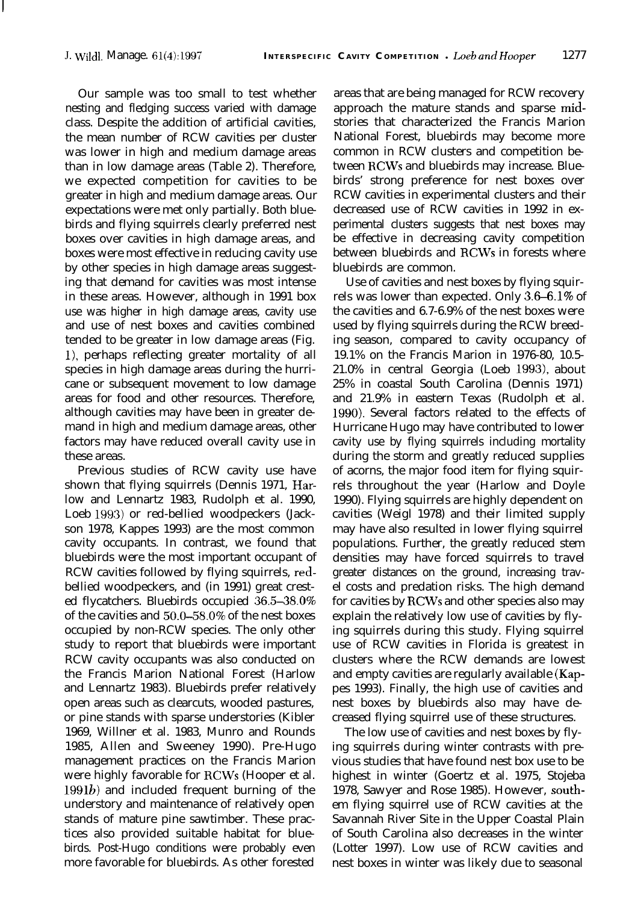Our sample was too small to test whether nesting and fledging success varied with damage class. Despite the addition of artificial cavities, the mean number of RCW cavities per cluster was lower in high and medium damage areas than in low damage areas (Table 2). Therefore, we expected competition for cavities to be greater in high and medium damage areas. Our expectations were met only partially. Both bluebirds and flying squirrels clearly preferred nest boxes over cavities in high damage areas, and boxes were most effective in reducing cavity use by other species in high damage areas suggesting that demand for cavities was most intense in these areas. However, although in 1991 box use was higher in high damage areas, cavity use and use of nest boxes and cavities combined tended to be greater in low damage areas (Fig. l), perhaps reflecting greater mortality of all species in high damage areas during the hurricane or subsequent movement to low damage areas for food and other resources. Therefore, although cavities may have been in greater demand in high and medium damage areas, other factors may have reduced overall cavity use in these areas.

Previous studies of RCW cavity use have shown that flying squirrels (Dennis 1971, Harlow and Lennartz 1983, Rudolph et al. 1990, Loeb 1993) or red-bellied woodpeckers (Jackson 1978, Kappes 1993) are the most common cavity occupants. In contrast, we found that bluebirds were the most important occupant of RCW cavities followed by flying squirrels, redbellied woodpeckers, and (in 1991) great crested flycatchers. Bluebirds occupied  $36.5-38.0\%$ of the cavities and 50.0-58.0% of the nest boxes occupied by non-RCW species. The only other study to report that bluebirds were important RCW cavity occupants was also conducted on the Francis Marion National Forest (Harlow and Lennartz 1983). Bluebirds prefer relatively open areas such as clearcuts, wooded pastures, or pine stands with sparse understories (Kibler 1969, Willner et al. 1983, Munro and Rounds 1985, Allen and Sweeney 1990). Pre-Hugo management practices on the Francis Marion were highly favorable for RCWs (Hooper et al.  $1991b$ ) and included frequent burning of the understory and maintenance of relatively open stands of mature pine sawtimber. These practices also provided suitable habitat for bluebirds. Post-Hugo conditions were probably even more favorable for bluebirds. As other forested

areas that are being managed for RCW recovery approach the mature stands and sparse midstories that characterized the Francis Marion National Forest, bluebirds may become more common in RCW clusters and competition between RCWs and bluebirds may increase. Bluebirds' strong preference for nest boxes over RCW cavities in experimental clusters and their decreased use of RCW cavities in 1992 in experimental clusters suggests that nest boxes may be effective in decreasing cavity competition between bluebirds and RCWs in forests where bluebirds are common.

Use of cavities and nest boxes by flying squirrels was lower than expected. Only 3.6–6.1% of the cavities and 6.7-6.9% of the nest boxes were used by flying squirrels during the RCW breeding season, compared to cavity occupancy of 19.1% on the Francis Marion in 1976-80, 10.5- 21.0% in central Georgia (Loeb 1993), about 25% in coastal South Carolina (Dennis 1971) and 21.9% in eastern Texas (Rudolph et al. 1990). Several factors related to the effects of Hurricane Hugo may have contributed to lower cavity use by flying squirrels including mortality during the storm and greatly reduced supplies of acorns, the major food item for flying squirrels throughout the year (Harlow and Doyle 1990). Flying squirrels are highly dependent on cavities (Weigl 1978) and their limited supply may have also resulted in lower flying squirrel populations. Further, the greatly reduced stem densities may have forced squirrels to travel greater distances on the ground, increasing travel costs and predation risks. The high demand for cavities by RCWs and other species also may explain the relatively low use of cavities by flying squirrels during this study. Flying squirrel use of RCW cavities in Florida is greatest in clusters where the RCW demands are lowest and empty cavities are regularly available (Kappes 1993). Finally, the high use of cavities and nest boxes by bluebirds also may have decreased flying squirrel use of these structures.

The low use of cavities and nest boxes by flying squirrels during winter contrasts with previous studies that have found nest box use to be highest in winter (Goertz et al. 1975, Stojeba 1978, Sawyer and Rose 1985). However, southem flying squirrel use of RCW cavities at the Savannah River Site in the Upper Coastal Plain of South Carolina also decreases in the winter (Lotter 1997). Low use of RCW cavities and nest boxes in winter was likely due to seasonal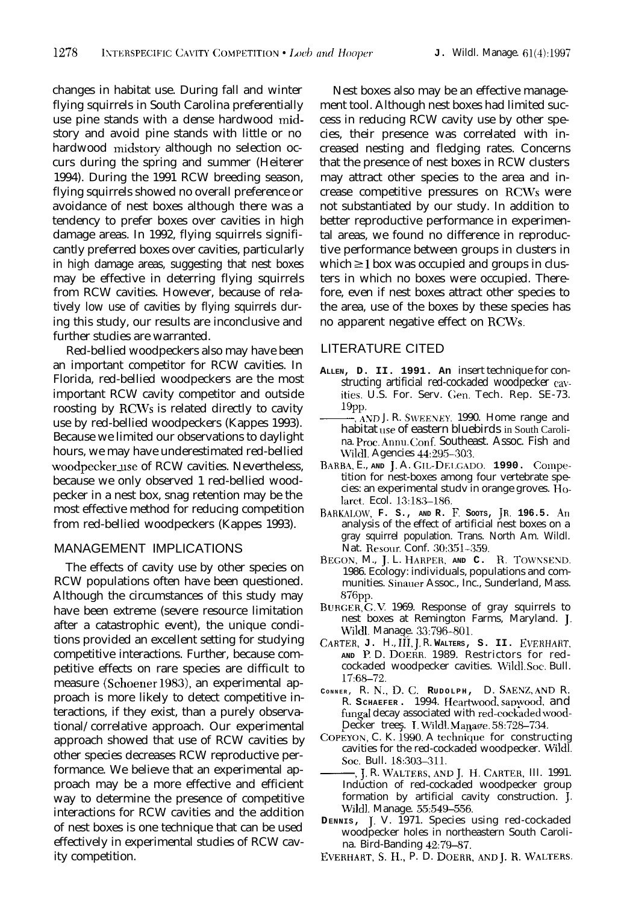changes in habitat use. During fall and winter flying squirrels in South Carolina preferentially use pine stands with a dense hardwood midstory and avoid pine stands with little or no hardwood midstory although no selection occurs during the spring and summer (Heiterer 1994). During the 1991 RCW breeding season, flying squirrels showed no overall preference or avoidance of nest boxes although there was a tendency to prefer boxes over cavities in high damage areas. In 1992, flying squirrels significantly preferred boxes over cavities, particularly in high damage areas, suggesting that nest boxes may be effective in deterring flying squirrels from RCW cavities. However, because of relatively low use of cavities by flying squirrels during this study, our results are inconclusive and further studies are warranted.

Red-bellied woodpeckers also may have been an important competitor for RCW cavities. In Florida, red-bellied woodpeckers are the most important RCW cavity competitor and outside roosting by RCWs is related directly to cavity use by red-bellied woodpeckers (Kappes 1993). Because we limited our observations to daylight hours, we may have underestimated red-bellied woodpecker\_use of RCW cavities. Nevertheless, because we only observed 1 red-bellied woodpecker in a nest box, snag retention may be the most effective method for reducing competition from red-bellied woodpeckers (Kappes 1993).

# MANAGEMENT IMPLICATIONS

The effects of cavity use by other species on RCW populations often have been questioned. Although the circumstances of this study may have been extreme (severe resource limitation after a catastrophic event), the unique conditions provided an excellent setting for studying competitive interactions. Further, because competitive effects on rare species are difficult to measure (Schoener 1983), an experimental approach is more likely to detect competitive interactions, if they exist, than a purely observational/correlative approach. Our experimental approach showed that use of RCW cavities by other species decreases RCW reproductive performance. We believe that an experimental approach may be a more effective and efficient way to determine the presence of competitive interactions for RCW cavities and the addition of nest boxes is one technique that can be used effectively in experimental studies of RCW cavity competition.

Nest boxes also may be an effective management tool. Although nest boxes had limited success in reducing RCW cavity use by other species, their presence was correlated with increased nesting and fledging rates. Concerns that the presence of nest boxes in RCW clusters may attract other species to the area and increase competitive pressures on RCWs were not substantiated by our study. In addition to better reproductive performance in experimental areas, we found no difference in reproductive performance between groups in clusters in which  $\geq 1$  box was occupied and groups in clusters in which no boxes were occupied. Therefore, even if nest boxes attract other species to the area, use of the boxes by these species has no apparent negative effect on RCWs.

## LITERATURE CITED

- **ALLEN, D. II. 1991. An** insert technique for constructing artificial red-cockaded woodpecker cw--, **,~ND** J. R. S\I'EENEY. 1990. Home range and ities. U.S. For. Serv. Gen. Tech. Rep. SE-73. 19pp.<br>— AND J. R. SWEENEY. 1990. Home range and
- habitat use of eastern bluebirds in South Carolina. Proc. Annu. Conf. Southeast. Assoc. Fish and Wild]. Agencies 44:295-303.
- **RAHB.~,** E., **AND** J. A. **GIL-DEKADO. 1990. Compr**tition for nest-boxes among four vertebrate species: an experimental studv in orange groves. Holarct. Ecol. 13:183-186.
- **RAHKALOW, F. S., AND R. El SOOTS, JR, 196.5. An** analysis of the effect of artificial nest boxes on a gray squirrel population. Trans. North Am. Wildl. Nat. Resour. Conf. 30:351-359.
- **BEGON,** M., J. L. **HARPER, AND C. R. TOWKSEND.** 1986. Ecology: individuals, populations and communities. Sinauer Assoc., Inc., Sunderland, Mass. 876pp.
- BURGER, G.V. 1969. Response of gray squirrels to nest boxes at Remington Farms, Maryland. J. Wildl. Manage. 33:796-801.
- **CARTER, J.** H., Ifi, J, R. **WALTERS, S. II. EVERHAIIT, AND l?** D. DOERR. 1989. Restrictors for redcockaded woodpecker cavities. Wildl Soc. Bull. 17:68-72.
- **<sup>C</sup>ONNER ,** R. N.,D.C. **RUDOLPH,** D. **SAENZ,** AND R. R. **SCHAEFER .** 1994. Heartwood, sapwood, and fungal decay associated with red-cockaded wood-Decker trees. I. Wild]. Manaee. 58:728-734.
- COPEYON, C. K. 1990. A technique for constructing cavities for the red-cockaded woodpecker. Wild]. Sot. Bull. 18:303-311.
- -,J, R. **WALTF.RS,ANDJ. H.CARTER,** III. 1991. Induction of red-cockaded woodpecker group formation by artificial cavity construction. J. Wildl. Manage. 55:549-556.
- **DENNIS,** J. V. 1971. Species using red-cockaded woodpecker holes in northeastern South Carolina. Bird-Banding 42:79-87.
- **EVERHART,S.H.,** P. D. **DOERK,AND** J.R.WALTERS.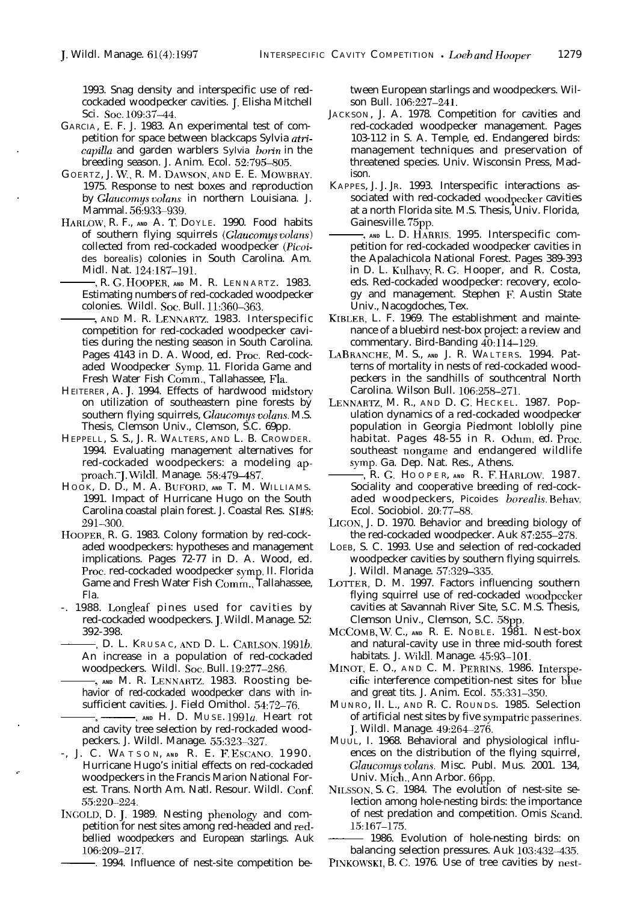1993. Snag density and interspecific use of redcockaded woodpecker cavities. J. Elisha Mitchell Sci. Soc. 109:37-44.

- GARCIA, E. F. J. 1983. An experimental test of competition for space between blackcaps Sylvia atri-. capilla and garden warblers *Sylvia hotin* in the breeding season. J. Anim. Ecol. 52:795-805.
- G OERTZ, J. W., R. M. DAMSON, AND E. E. MOWBRAY. 1975. Response to nest boxes and reproduction by Glaucomus volans in northern Louisiana. J. Mammal. 56:933-939.
- HARLOW, R. F., **AND** A. T. DOYLE. 1990. Food habits of southern flying squirrels (Glaucomys volans) collected from red-cockaded woodpecker *(Picoi-*<br>des borealis) colonies in South Carolina. Am.<br>Midl. Nat. 124:187-191.<br>R. G. HOOPER, AND M. R. LENNARTZ. 1983.<br>Estimating numbers of red-cockaded woodpecker *des borealis)* colonies in South Carolina. Am. Midl. Nat. 124:187-191.
	- Estimating numbers of red-cockaded woodpecker colonies. Wildl. Soc. Bull. 11:360-363.
- , AND M. R. LENXAKTZ. 1983. Interspecific competition for red-cockaded woodpecker cavities during the nesting season in South Carolina. Pages 4143 in D. A. Wood, ed. Proc. Red-cockaded Woodpecker Symp. 11. Florida Game and Fresh Water Fish Comm., Tallahassee, Fla.
- HEITERER , A. J. 1994. Effects of hardwood midstory on utilization of southeastern pine forests by southern flying squirrels, Glaucomys *voluns.* M.S. Thesis, Clemson Univ., Clemson, S.C. 69pp.
- HEPPELL, S. S., J. R. WALTERS , AND L. B. CROWDER. 1994. Evaluating management alternatives for red-cockaded woodpeckers: a modeling approach."J. Wildl. Manage. 58:479-487.
- HOOK, D. D., M. A. **RUFORD, AND** T. M. WILLIAMS. 1991. Impact of Hurricane Hugo on the South Carolina coastal plain forest. J. Coastal Res. Sl#8: 291-300.
- HOOPER, R. G. 1983. Colony formation by red-cockaded woodpeckers: hypotheses and management implications. Pages 72-77 in D. A. Wood, ed. Proc. red-cockaded woodpecker symp, II. Florida Game and Fresh Water Fish Comm., Tallahassee, Fla.
- -. 1988. Longleaf pines used for cavities by<br>red-cockaded woodpeckers. J. Wildl. Manage. 52:<br>392-398.<br>D. L. KRUSAC, AND D. L. CARLSON. 1991*b*.<br>An increase in a population of red-cockaded red-cockaded woodpeckers. J. Wildl. Manage. 52: 392-398.
- An increase in a population of red-cockaded woodpeckers. Wildl. Soc. Bull. 19:277-286.
- , **AND** M. R. LENNAKTZ. 1983. Roosting be-,-, **AND** H. D. MUSE. 19910. Heart rot havior of red-cockaded woodpecker clans with insufficient cavities. J. Field Omithol. 54:72-76.
- and cavity tree selection by red-rockaded woodpeckers. J. Wildl. Manage. 55:323-327.

.

- -, J. C. WATSON, **AND** R. E. F. ESCANO. 1990. Hurricane Hugo's initial effects on red-cockaded woodpeckers in the Francis Marion National Forest. Trans. North Am. Natl. Resour. Wildl. Conf. 55:220-224.
- INGOLD, D. J. 1989. Nesting phenology and competition for nest sites among red-headed and redbellied woodpeckers and European starlings. Auk 106:209-217.
	- -. 1994. Influence of nest-site competition be-

tween European starlings and woodpeckers. Wilson Bull. 106:227-241.

- JACKSON, J. A. 1978. Competition for cavities and red-cockaded woodpecker management. Pages 103-112 in S. A. Temple, ed. Endangered birds: management techniques and preservation of threatened species. Univ. Wisconsin Press, Madison.
- KAPPES, J. J. JR. 1993. Interspecific interactions associated with red-cockaded woodpecker cavities at a north Florida site. M.S. Thesis, Univ. Florida, Gainesville. 75pp.
- , **AND** L. D. HARKIS. 1995. Interspecific competition for red-cockaded woodpecker cavities in the Apalachicola National Forest. Pages 389-393 in D. L. Kulhavy, R. 6. Hooper, and R. Costa, eds. Red-cockaded woodpecker: recovery, ecology and management. Stephen E Austin State Univ., Nacogdoches, Tex.
- KIBLER, L. F. 1969. The establishment and maintenance of a bluebird nest-box project: a review and commentary. Bird-Banding 40:114-129.
- LABRANCHE, M. S., **AND** J. R. WALTERS. 1994. Patterns of mortality in nests of red-cockaded woodpeckers in the sandhills of southcentral North Carolina. Wilson Bull. 106:258-271.
- LENNARIZ, M. R., AND D. G. HECKEL. 1987. Population dynamics of a red-cockaded woodpecker population in Georgia Piedmont loblolly pine habitat. Pages 48-55 in R. Odum, ed. Proc.<br>southeast nongame and endangered wildlife<br>symp. Ga. Dep. Nat. Res., Athens.<br>-, R. G. Hooper, AND R. F. HARLOW. 1987.<br>Sociality and cooperative breeding of red-cocksoutheast nongame and endangered wildlife symp. Ga. Dep. Nat. Res., Athens.
- Sociality and cooperative breeding of red-cockaded woodpeckers, *Picoides borealis* Behav. Ecol. Sociobiol. 20:77-88.
- LIGON, J. D. 1970. Behavior and breeding biology of the red-cockaded woodpecker. Auk 87:255-278.
- LOEB, S. C. 1993. Use and selection of red-cockaded woodpecker cavities by southern flying squirrels. J. Wildl. Manage. 57:329-335.
- LOTTER, D. M. 1997. Factors influencing southern flying squirrel use of red-cockaded woodpecker cavities at Savannah River Site, S.C. M.S. Thesis, Clemson Univ., Clemson, S.C. 58pp.
- MCCOMB, W. C., **AND** R. E. NOBLE. 1981. Nest-box and natural-cavity use in three mid-south forest habitats. J. Wild]. Manage. 45:93-101.
- MINOT, E. O., AND C. M. PEKKINS. 1986. lnterspecific interference competition-nest sites for bhle and great tits. J. Anim. Ecol. 55:331-350.
- MUNRO, II. L., AND R. C. ROUNDS. 1985. Selection of artificial nest sites by five sympatric passerines. J. Wildl. Manage.  $49:264-276$ .
- MUUL, I. 1968. Behavioral and physiological influences on the distribution of the flying squirrel, Glaucomys volans. Misc. Publ. Mus. 2001. 134, Univ. Mich., Ann Arbor. 66pp.
- NIISSON, S. 6. 1984. The evolution of nest-site selection among hole-nesting birds: the importance of nest predation and competition. Omis Scand. 15:167-175. Glaucomys volans. Misc. Publ. Mus. 2001. 134,<br>Univ. Mich., Ann Arbor. 66pp.<br>NILSSON, S. G. 1984. The evolution of nest-site se-<br>lection among hole-nesting birds: the importance<br>of nest predation and competition. Omis Scand

balancing selection pressures. Auk 103:432-435.

PINKOWSKI, B. C. 1976. Use of tree cavities by nest-